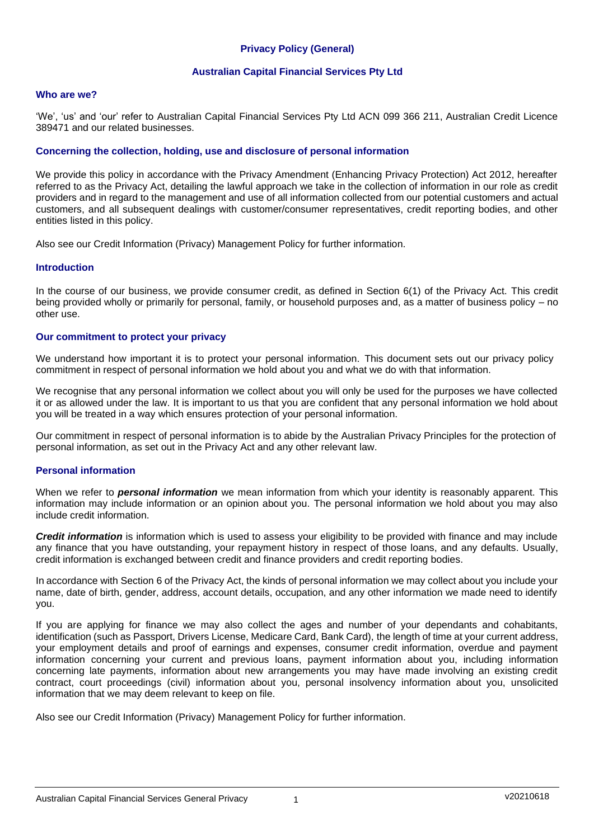# **Privacy Policy (General)**

#### **Australian Capital Financial Services Pty Ltd**

#### **Who are we?**

'We', 'us' and 'our' refer to Australian Capital Financial Services Pty Ltd ACN 099 366 211, Australian Credit Licence 389471 and our related businesses.

#### **Concerning the collection, holding, use and disclosure of personal information**

We provide this policy in accordance with the Privacy Amendment (Enhancing Privacy Protection) Act 2012, hereafter referred to as the Privacy Act, detailing the lawful approach we take in the collection of information in our role as credit providers and in regard to the management and use of all information collected from our potential customers and actual customers, and all subsequent dealings with customer/consumer representatives, credit reporting bodies, and other entities listed in this policy.

Also see our Credit Information (Privacy) Management Policy for further information.

#### **Introduction**

In the course of our business, we provide consumer credit, as defined in Section 6(1) of the Privacy Act. This credit being provided wholly or primarily for personal, family, or household purposes and, as a matter of business policy – no other use.

#### **Our commitment to protect your privacy**

We understand how important it is to protect your personal information. This document sets out our privacy policy commitment in respect of personal information we hold about you and what we do with that information.

We recognise that any personal information we collect about you will only be used for the purposes we have collected it or as allowed under the law. It is important to us that you are confident that any personal information we hold about you will be treated in a way which ensures protection of your personal information.

Our commitment in respect of personal information is to abide by the Australian Privacy Principles for the protection of personal information, as set out in the Privacy Act and any other relevant law.

#### **Personal information**

When we refer to *personal information* we mean information from which your identity is reasonably apparent. This information may include information or an opinion about you. The personal information we hold about you may also include credit information.

*Credit information* is information which is used to assess your eligibility to be provided with finance and may include any finance that you have outstanding, your repayment history in respect of those loans, and any defaults. Usually, credit information is exchanged between credit and finance providers and credit reporting bodies.

In accordance with Section 6 of the Privacy Act, the kinds of personal information we may collect about you include your name, date of birth, gender, address, account details, occupation, and any other information we made need to identify you.

If you are applying for finance we may also collect the ages and number of your dependants and cohabitants, identification (such as Passport, Drivers License, Medicare Card, Bank Card), the length of time at your current address, your employment details and proof of earnings and expenses, consumer credit information, overdue and payment information concerning your current and previous loans, payment information about you, including information concerning late payments, information about new arrangements you may have made involving an existing credit contract, court proceedings (civil) information about you, personal insolvency information about you, unsolicited information that we may deem relevant to keep on file.

Also see our Credit Information (Privacy) Management Policy for further information.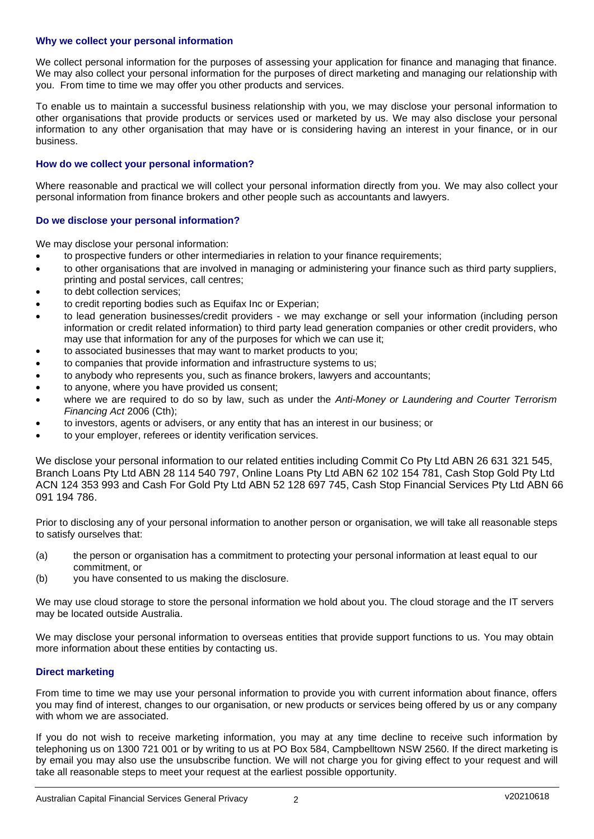### **Why we collect your personal information**

We collect personal information for the purposes of assessing your application for finance and managing that finance. We may also collect your personal information for the purposes of direct marketing and managing our relationship with you. From time to time we may offer you other products and services.

To enable us to maintain a successful business relationship with you, we may disclose your personal information to other organisations that provide products or services used or marketed by us. We may also disclose your personal information to any other organisation that may have or is considering having an interest in your finance, or in our business.

### **How do we collect your personal information?**

Where reasonable and practical we will collect your personal information directly from you. We may also collect your personal information from finance brokers and other people such as accountants and lawyers.

### **Do we disclose your personal information?**

We may disclose your personal information:

- to prospective funders or other intermediaries in relation to your finance requirements;
- to other organisations that are involved in managing or administering your finance such as third party suppliers, printing and postal services, call centres;
- to debt collection services:
- to credit reporting bodies such as Equifax Inc or Experian;
- to lead generation businesses/credit providers we may exchange or sell your information (including person information or credit related information) to third party lead generation companies or other credit providers, who may use that information for any of the purposes for which we can use it;
- to associated businesses that may want to market products to you;
- to companies that provide information and infrastructure systems to us;
- to anybody who represents you, such as finance brokers, lawyers and accountants;
- to anyone, where you have provided us consent;
- where we are required to do so by law, such as under the *Anti-Money or Laundering and Courter Terrorism Financing Act* 2006 (Cth);
- to investors, agents or advisers, or any entity that has an interest in our business; or
- to your employer, referees or identity verification services.

We disclose your personal information to our related entities including Commit Co Pty Ltd ABN 26 631 321 545, Branch Loans Pty Ltd ABN 28 114 540 797, Online Loans Pty Ltd ABN 62 102 154 781, Cash Stop Gold Pty Ltd ACN 124 353 993 and Cash For Gold Pty Ltd ABN 52 128 697 745, Cash Stop Financial Services Pty Ltd ABN 66 091 194 786.

Prior to disclosing any of your personal information to another person or organisation, we will take all reasonable steps to satisfy ourselves that:

- (a) the person or organisation has a commitment to protecting your personal information at least equal to our commitment, or
- (b) you have consented to us making the disclosure.

We may use cloud storage to store the personal information we hold about you. The cloud storage and the IT servers may be located outside Australia.

We may disclose your personal information to overseas entities that provide support functions to us. You may obtain more information about these entities by contacting us.

## **Direct marketing**

From time to time we may use your personal information to provide you with current information about finance, offers you may find of interest, changes to our organisation, or new products or services being offered by us or any company with whom we are associated.

If you do not wish to receive marketing information, you may at any time decline to receive such information by telephoning us on 1300 721 001 or by writing to us at PO Box 584, Campbelltown NSW 2560. If the direct marketing is by email you may also use the unsubscribe function. We will not charge you for giving effect to your request and will take all reasonable steps to meet your request at the earliest possible opportunity.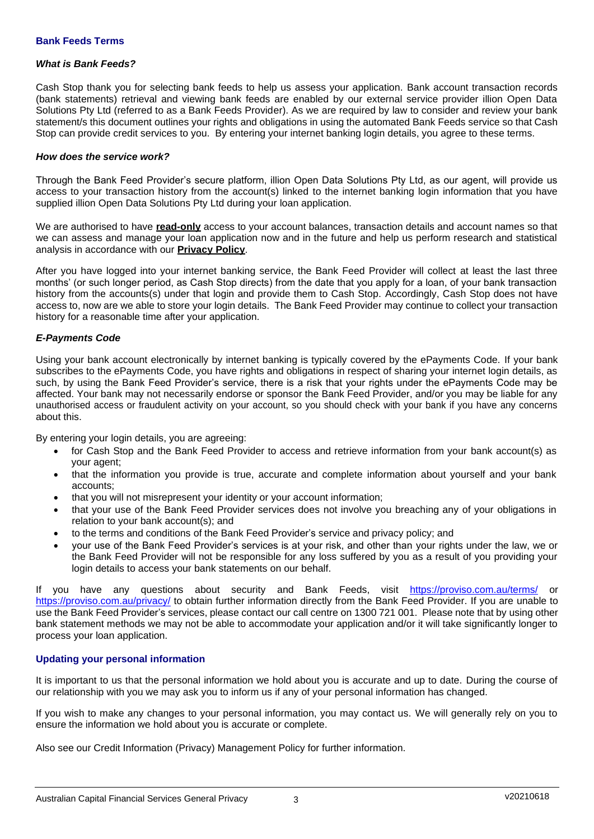#### *What is Bank Feeds?*

Cash Stop thank you for selecting bank feeds to help us assess your application. Bank account transaction records (bank statements) retrieval and viewing bank feeds are enabled by our external service provider illion Open Data Solutions Pty Ltd (referred to as a Bank Feeds Provider). As we are required by law to consider and review your bank statement/s this document outlines your rights and obligations in using the automated Bank Feeds service so that Cash Stop can provide credit services to you. By entering your internet banking login details, you agree to these terms.

#### *How does the service work?*

Through the Bank Feed Provider's secure platform, illion Open Data Solutions Pty Ltd, as our agent, will provide us access to your transaction history from the account(s) linked to the internet banking login information that you have supplied illion Open Data Solutions Pty Ltd during your loan application.

We are authorised to have **read-only** access to your account balances, transaction details and account names so that we can assess and manage your loan application now and in the future and help us perform research and statistical analysis in accordance with our **Privacy Policy**.

After you have logged into your internet banking service, the Bank Feed Provider will collect at least the last three months' (or such longer period, as Cash Stop directs) from the date that you apply for a loan, of your bank transaction history from the accounts(s) under that login and provide them to Cash Stop. Accordingly, Cash Stop does not have access to, now are we able to store your login details. The Bank Feed Provider may continue to collect your transaction history for a reasonable time after your application.

## *E-Payments Code*

Using your bank account electronically by internet banking is typically covered by the ePayments Code. If your bank subscribes to the ePayments Code, you have rights and obligations in respect of sharing your internet login details, as such, by using the Bank Feed Provider's service, there is a risk that your rights under the ePayments Code may be affected. Your bank may not necessarily endorse or sponsor the Bank Feed Provider, and/or you may be liable for any unauthorised access or fraudulent activity on your account, so you should check with your bank if you have any concerns about this.

By entering your login details, you are agreeing:

- for Cash Stop and the Bank Feed Provider to access and retrieve information from your bank account(s) as your agent;
- that the information you provide is true, accurate and complete information about yourself and your bank accounts;
- that you will not misrepresent your identity or your account information;
- that your use of the Bank Feed Provider services does not involve you breaching any of your obligations in relation to your bank account(s); and
- to the terms and conditions of the Bank Feed Provider's service and privacy policy; and
- your use of the Bank Feed Provider's services is at your risk, and other than your rights under the law, we or the Bank Feed Provider will not be responsible for any loss suffered by you as a result of you providing your login details to access your bank statements on our behalf.

If you have any questions about security and Bank Feeds, visit <https://proviso.com.au/terms/> <https://proviso.com.au/privacy/> to obtain further information directly from the Bank Feed Provider. If you are unable to use the Bank Feed Provider's services, please contact our call centre on 1300 721 001. Please note that by using other bank statement methods we may not be able to accommodate your application and/or it will take significantly longer to process your loan application.

#### **Updating your personal information**

It is important to us that the personal information we hold about you is accurate and up to date. During the course of our relationship with you we may ask you to inform us if any of your personal information has changed.

If you wish to make any changes to your personal information, you may contact us. We will generally rely on you to ensure the information we hold about you is accurate or complete.

Also see our Credit Information (Privacy) Management Policy for further information.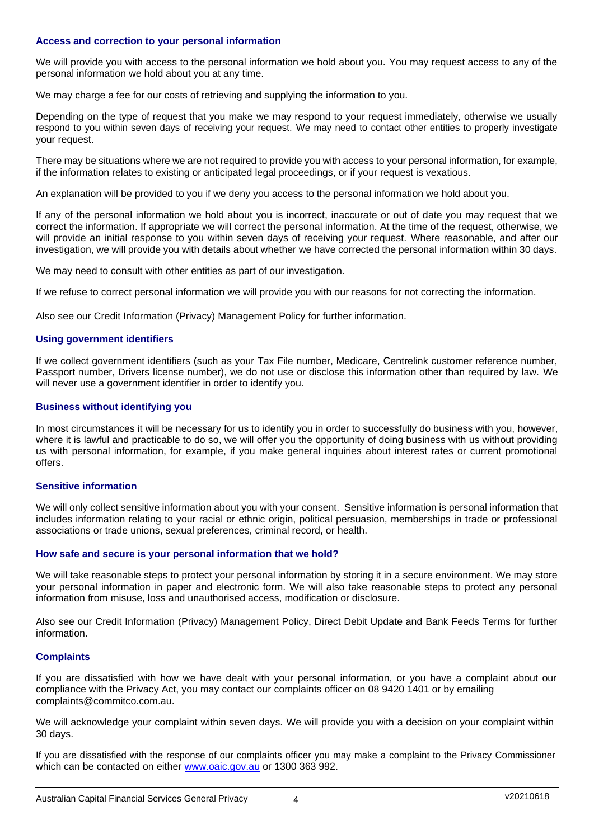### **Access and correction to your personal information**

We will provide you with access to the personal information we hold about you. You may request access to any of the personal information we hold about you at any time.

We may charge a fee for our costs of retrieving and supplying the information to you.

Depending on the type of request that you make we may respond to your request immediately, otherwise we usually respond to you within seven days of receiving your request. We may need to contact other entities to properly investigate your request.

There may be situations where we are not required to provide you with access to your personal information, for example, if the information relates to existing or anticipated legal proceedings, or if your request is vexatious.

An explanation will be provided to you if we deny you access to the personal information we hold about you.

If any of the personal information we hold about you is incorrect, inaccurate or out of date you may request that we correct the information. If appropriate we will correct the personal information. At the time of the request, otherwise, we will provide an initial response to you within seven days of receiving your request. Where reasonable, and after our investigation, we will provide you with details about whether we have corrected the personal information within 30 days.

We may need to consult with other entities as part of our investigation.

If we refuse to correct personal information we will provide you with our reasons for not correcting the information.

Also see our Credit Information (Privacy) Management Policy for further information.

#### **Using government identifiers**

If we collect government identifiers (such as your Tax File number, Medicare, Centrelink customer reference number, Passport number, Drivers license number), we do not use or disclose this information other than required by law. We will never use a government identifier in order to identify you.

#### **Business without identifying you**

In most circumstances it will be necessary for us to identify you in order to successfully do business with you, however, where it is lawful and practicable to do so, we will offer you the opportunity of doing business with us without providing us with personal information, for example, if you make general inquiries about interest rates or current promotional offers.

### **Sensitive information**

We will only collect sensitive information about you with your consent. Sensitive information is personal information that includes information relating to your racial or ethnic origin, political persuasion, memberships in trade or professional associations or trade unions, sexual preferences, criminal record, or health.

#### **How safe and secure is your personal information that we hold?**

We will take reasonable steps to protect your personal information by storing it in a secure environment. We may store your personal information in paper and electronic form. We will also take reasonable steps to protect any personal information from misuse, loss and unauthorised access, modification or disclosure.

Also see our Credit Information (Privacy) Management Policy, Direct Debit Update and Bank Feeds Terms for further information.

#### **Complaints**

If you are dissatisfied with how we have dealt with your personal information, or you have a complaint about our compliance with the Privacy Act, you may contact our complaints officer on 08 9420 1401 or by emailing complaints@commitco.com.au.

We will acknowledge your complaint within seven days. We will provide you with a decision on your complaint within 30 days.

If you are dissatisfied with the response of our complaints officer you may make a complaint to the Privacy Commissioner which can be contacted on either [www.oaic.gov.au](http://www.oaic.gov.au/) or 1300 363 992.